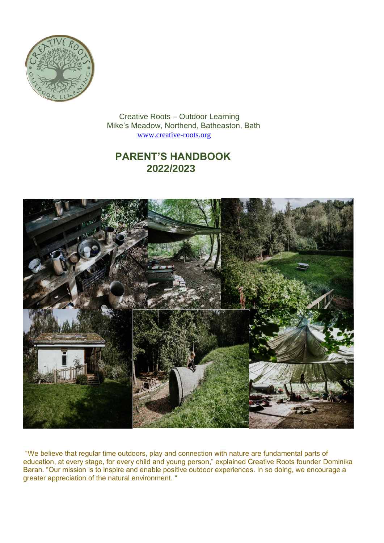

 Creative Roots – Outdoor Learning Mike's Meadow, Northend, Batheaston, Bath [www.creative-roots.org](http://www.creative-roots.org/)

# **PARENT'S HANDBOOK 2022/2023**



"We believe that regular time outdoors, play and connection with nature are fundamental parts of education, at every stage, for every child and young person," explained Creative Roots founder Dominika Baran. "Our mission is to inspire and enable positive outdoor experiences. In so doing, we encourage a greater appreciation of the natural environment. "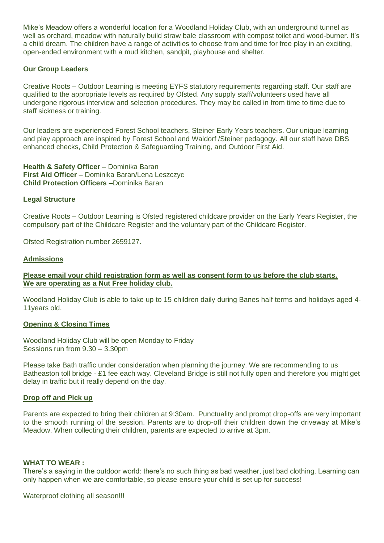Mike's Meadow offers a wonderful location for a Woodland Holiday Club, with an underground tunnel as well as orchard, meadow with naturally build straw bale classroom with compost toilet and wood-burner. It's a child dream. The children have a range of activities to choose from and time for free play in an exciting, open-ended environment with a mud kitchen, sandpit, playhouse and shelter.

## **Our Group Leaders**

Creative Roots – Outdoor Learning is meeting EYFS statutory requirements regarding staff. Our staff are qualified to the appropriate levels as required by Ofsted. Any supply staff/volunteers used have all undergone rigorous interview and selection procedures. They may be called in from time to time due to staff sickness or training.

Our leaders are experienced Forest School teachers, Steiner Early Years teachers. Our unique learning and play approach are inspired by Forest School and Waldorf /Steiner pedagogy. All our staff have DBS enhanced checks, Child Protection & Safeguarding Training, and Outdoor First Aid.

**Health & Safety Officer** – Dominika Baran **First Aid Officer** – Dominika Baran/Lena Leszczyc **Child Protection Officers –**Dominika Baran

## **Legal Structure**

Creative Roots – Outdoor Learning is Ofsted registered childcare provider on the Early Years Register, the compulsory part of the Childcare Register and the voluntary part of the Childcare Register.

Ofsted Registration number 2659127.

## **Admissions**

**Please email your child registration form as well as consent form to us before the club starts. We are operating as a Nut Free holiday club.**

Woodland Holiday Club is able to take up to 15 children daily during Banes half terms and holidays aged 4- 11years old.

## **Opening & Closing Times**

Woodland Holiday Club will be open Monday to Friday Sessions run from 9.30 – 3.30pm

Please take Bath traffic under consideration when planning the journey. We are recommending to us Batheaston toll bridge - £1 fee each way. Cleveland Bridge is still not fully open and therefore you might get delay in traffic but it really depend on the day.

## **Drop off and Pick up**

Parents are expected to bring their children at 9:30am. Punctuality and prompt drop-offs are very important to the smooth running of the session. Parents are to drop-off their children down the driveway at Mike's Meadow. When collecting their children, parents are expected to arrive at 3pm.

## **WHAT TO WEAR :**

There's a saying in the outdoor world: there's no such thing as bad weather, just bad clothing. Learning can only happen when we are comfortable, so please ensure your child is set up for success!

Waterproof clothing all season!!!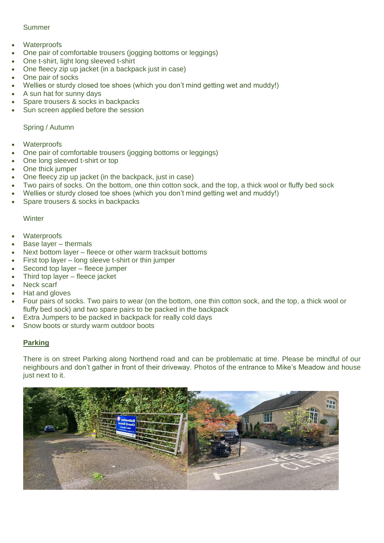## Summer

- **Waterproofs**
- One pair of comfortable trousers (jogging bottoms or leggings)
- One t-shirt, light long sleeved t-shirt
- One fleecy zip up jacket (in a backpack just in case)
- One pair of socks
- Wellies or sturdy closed toe shoes (which you don't mind getting wet and muddy!)
- A sun hat for sunny days
- Spare trousers & socks in backpacks
- Sun screen applied before the session

## Spring / Autumn

- **Waterproofs**
- One pair of comfortable trousers (jogging bottoms or leggings)
- One long sleeved t-shirt or top
- One thick jumper
- One fleecy zip up jacket (in the backpack, just in case)
- Two pairs of socks. On the bottom, one thin cotton sock, and the top, a thick wool or fluffy bed sock
- Wellies or sturdy closed toe shoes (which you don't mind getting wet and muddy!)
- Spare trousers & socks in backpacks

## **Winter**

- **Waterproofs**
- Base layer thermals
- Next bottom layer fleece or other warm tracksuit bottoms
- First top layer long sleeve t-shirt or thin jumper
- Second top layer fleece jumper
- Third top layer fleece jacket
- Neck scarf
- Hat and gloves
- Four pairs of socks. Two pairs to wear (on the bottom, one thin cotton sock, and the top, a thick wool or fluffy bed sock) and two spare pairs to be packed in the backpack
- Extra Jumpers to be packed in backpack for really cold days
- Snow boots or sturdy warm outdoor boots

## **Parking**

There is on street Parking along Northend road and can be problematic at time. Please be mindful of our neighbours and don't gather in front of their driveway. Photos of the entrance to Mike's Meadow and house just next to it.

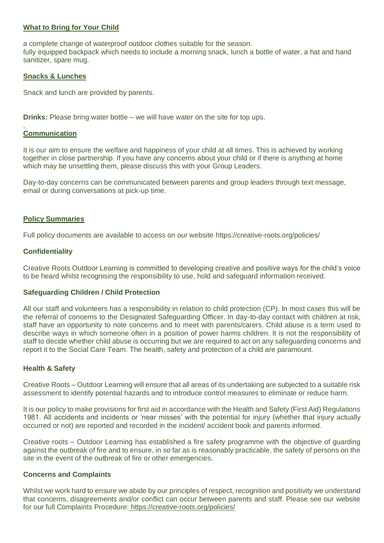## **What to Bring for Your Child**

a complete change of waterproof outdoor clothes suitable for the season. fully equipped backpack which needs to include a morning snack, lunch a bottle of water, a hat and hand sanitizer, spare mug.

## **Snacks & Lunches**

Snack and lunch are provided by parents.

**Drinks:** Please bring water bottle – we will have water on the site for top ups.

#### . **Communication**

It is our aim to ensure the welfare and happiness of your child at all times. This is achieved by working together in close partnership. If you have any concerns about your child or if there is anything at home which may be unsettling them, please discuss this with your Group Leaders.

Day-to-day concerns can be communicated between parents and group leaders through text message, email or during conversations at pick-up time.

## **Policy Summaries**

Full policy documents are available to access on our website https://creative-roots.org/policies/

## **Confidentiality**

Creative Roots Outdoor Learning is committed to developing creative and positive ways for the child's voice to be heard whilst recognising the responsibility to use, hold and safeguard information received.

## **Safeguarding Children / Child Protection**

All our staff and volunteers has a responsibility in relation to child protection (CP). In most cases this will be the referral of concerns to the Designated Safeguarding Officer. In day-to-day contact with children at risk, staff have an opportunity to note concerns and to meet with parents/carers. Child abuse is a term used to describe ways in which someone often in a position of power harms children. It is not the responsibility of staff to decide whether child abuse is occurring but we are required to act on any safeguarding concerns and report it to the Social Care Team. The health, safety and protection of a child are paramount.

## **Health & Safety**

Creative Roots – Outdoor Learning will ensure that all areas of its undertaking are subjected to a suitable risk assessment to identify potential hazards and to introduce control measures to eliminate or reduce harm.

It is our policy to make provisions for first aid in accordance with the Health and Safety (First Aid) Regulations 1981. All accidents and incidents or 'near misses' with the potential for injury (whether that injury actually occurred or not) are reported and recorded in the incident/ accident book and parents informed.

Creative roots – Outdoor Learning has established a fire safety programme with the objective of guarding against the outbreak of fire and to ensure, in so far as is reasonably practicable, the safety of persons on the site in the event of the outbreak of fire or other emergencies.

## **Concerns and Complaints**

Whilst we work hard to ensure we abide by our principles of respect, recognition and positivity we understand that concerns, disagreements and/or conflict can occur between parents and staff. Please see our website for our full Complaints Procedure: https://creative-roots.org/policies/